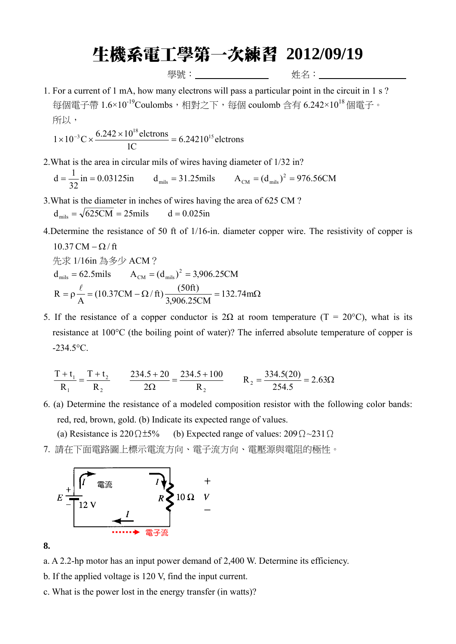## 生機系電工學第一次練習 **2012/09/19**

學號: <u>\_\_\_\_\_\_</u> 姓名: \_\_\_\_\_

1. For a current of 1 mA, how many electrons will pass a particular point in the circuit in 1 s ? 每個電子帶 1.6×10-19Coulombs,相對之下,每個 coulomb 含有 6.242×10<sup>18</sup> 個電子。 所以,

$$
1 \times 10^{-3} \text{C} \times \frac{6.242 \times 10^{18} \text{ electrons}}{1 \text{C}} = 6.24210^{15} \text{ electrons}
$$

2.What is the area in circular mils of wires having diameter of 1/32 in?

in = 0.03125in d<sub>mils</sub> = 31.25mils  $A_{CM} = (d_{mls})^2 = 976.56CM$  $d = {1 \over 32}$  in = 0.03125in  $d_{\text{mils}} = 31.25$  mils  $A_{\text{CM}} = (d_{\text{mils}})^2 =$ 

3.What is the diameter in inches of wires having the area of 625 CM ?

 $d_{\text{mis}} = \sqrt{625CM} = 25 \text{mils}$  d = 0.025in

4.Determine the resistance of 50 ft of 1/16-in. diameter copper wire. The resistivity of copper is

10.37 CM – 
$$
\Omega
$$
/ft  
\n $\text{Ex } 1/16 \text{ in } \frac{2}{33} \div 9 \text{ ACM } ?$   
\n $d_{\text{mils}} = 62.5 \text{mils} \qquad A_{\text{CM}} = (d_{\text{mils}})^2 = 3,906.25 \text{ CM}$   
\n $R = \rho \frac{\ell}{A} = (10.37 \text{CM} - \Omega / \text{ft}) \frac{(50 \text{ft})}{3,906.25 \text{CM}} = 132.74 \text{mA}$ 

5. If the resistance of a copper conductor is 2Ω at room temperature (T = 20°C), what is its resistance at 100°C (the boiling point of water)? The inferred absolute temperature of copper is -234.5°C.

$$
\frac{T + t_1}{R_1} = \frac{T + t_2}{R_2} \qquad \frac{234.5 + 20}{2\Omega} = \frac{234.5 + 100}{R_2} \qquad R_2 = \frac{334.5(20)}{254.5} = 2.63\Omega
$$

- 6. (a) Determine the resistance of a modeled composition resistor with the following color bands: red, red, brown, gold. (b) Indicate its expected range of values.
	- (a) Resistance is 220 $\Omega$ ±5% (b) Expected range of values: 209 $\Omega$ ~231 $\Omega$
- 7. 請在下面電路圖上標示電流方向、電子流方向、電壓源與電阻的極性。



**8.** 

- a. A 2.2-hp motor has an input power demand of 2,400 W. Determine its efficiency.
- b. If the applied voltage is 120 V, find the input current.
- c. What is the power lost in the energy transfer (in watts)?